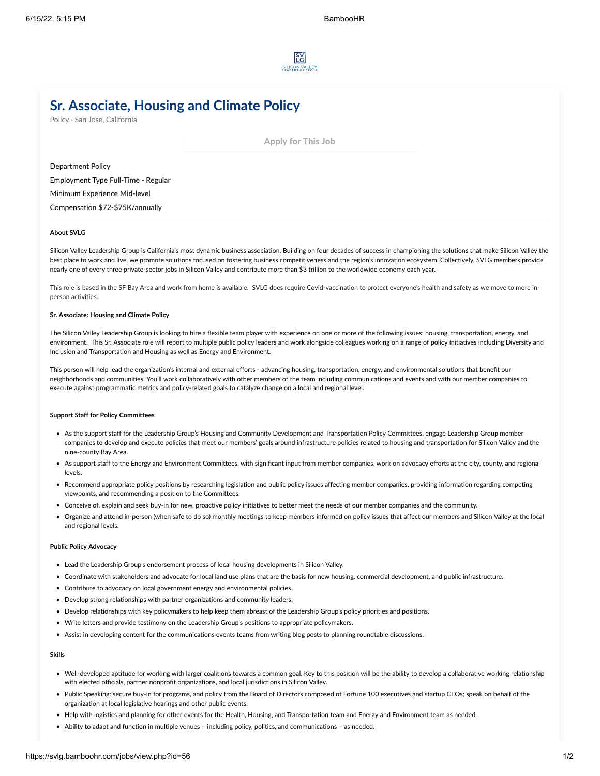

# **Sr. Associate, Housing and Climate Policy**

Policy · San Jose, California

Apply for This Job

Department **Policy** Employment Type **Full-Time - Regular** Minimum Experience **Mid-level**

Compensation **\$72-\$75K/annually**

## **About SVLG**

Silicon Valley Leadership Group is California's most dynamic business association. Building on four decades of success in championing the solutions that make Silicon Valley the best place to work and live, we promote solutions focused on fostering business competitiveness and the region's innovation ecosystem. Collectively, SVLG members provide nearly one of every three private-sector jobs in Silicon Valley and contribute more than \$3 trillion to the worldwide economy each year.

This role is based in the SF Bay Area and work from home is available. SVLG does require Covid-vaccination to protect everyone's health and safety as we move to more inperson activities.

### **Sr. Associate: Housing and Climate Policy**

The Silicon Valley Leadership Group is looking to hire a flexible team player with experience on one or more of the following issues: housing, transportation, energy, and environment. This Sr. Associate role will report to multiple public policy leaders and work alongside colleagues working on a range of policy initiatives including Diversity and Inclusion and Transportation and Housing as well as Energy and Environment.

This person will help lead the organization's internal and external efforts - advancing housing, transportation, energy, and environmental solutions that benefit our neighborhoods and communities. You'll work collaboratively with other members of the team including communications and events and with our member companies to execute against programmatic metrics and policy-related goals to catalyze change on a local and regional level.

### **Support Staff for Policy Committees**

- As the support staff for the Leadership Group's Housing and Community Development and Transportation Policy Committees, engage Leadership Group member companies to develop and execute policies that meet our members' goals around infrastructure policies related to housing and transportation for Silicon Valley and the nine-county Bay Area.
- As support staff to the Energy and Environment Committees, with significant input from member companies, work on advocacy efforts at the city, county, and regional levels.
- Recommend appropriate policy positions by researching legislation and public policy issues affecting member companies, providing information regarding competing viewpoints, and recommending a position to the Committees.
- Conceive of, explain and seek buy-in for new, proactive policy initiatives to better meet the needs of our member companies and the community.
- Organize and attend in-person (when safe to do so) monthly meetings to keep members informed on policy issues that affect our members and Silicon Valley at the local and regional levels.

#### **Public Policy Advocacy**

- Lead the Leadership Group's endorsement process of local housing developments in Silicon Valley.
- Coordinate with stakeholders and advocate for local land use plans that are the basis for new housing, commercial development, and public infrastructure.
- Contribute to advocacy on local government energy and environmental policies.
- Develop strong relationships with partner organizations and community leaders.
- Develop relationships with key policymakers to help keep them abreast of the Leadership Group's policy priorities and positions.
- Write letters and provide testimony on the Leadership Group's positions to appropriate policymakers.
- Assist in developing content for the communications events teams from writing blog posts to planning roundtable discussions.

## **Skills**

- Well-developed aptitude for working with larger coalitions towards a common goal. Key to this position will be the ability to develop a collaborative working relationship with elected officials, partner nonprofit organizations, and local jurisdictions in Silicon Valley.
- Public Speaking: secure buy-in for programs, and policy from the Board of Directors composed of Fortune 100 executives and startup CEOs; speak on behalf of the organization at local legislative hearings and other public events.
- Help with logistics and planning for other events for the Health, Housing, and Transportation team and Energy and Environment team as needed.
- Ability to adapt and function in multiple venues including policy, politics, and communications as needed.